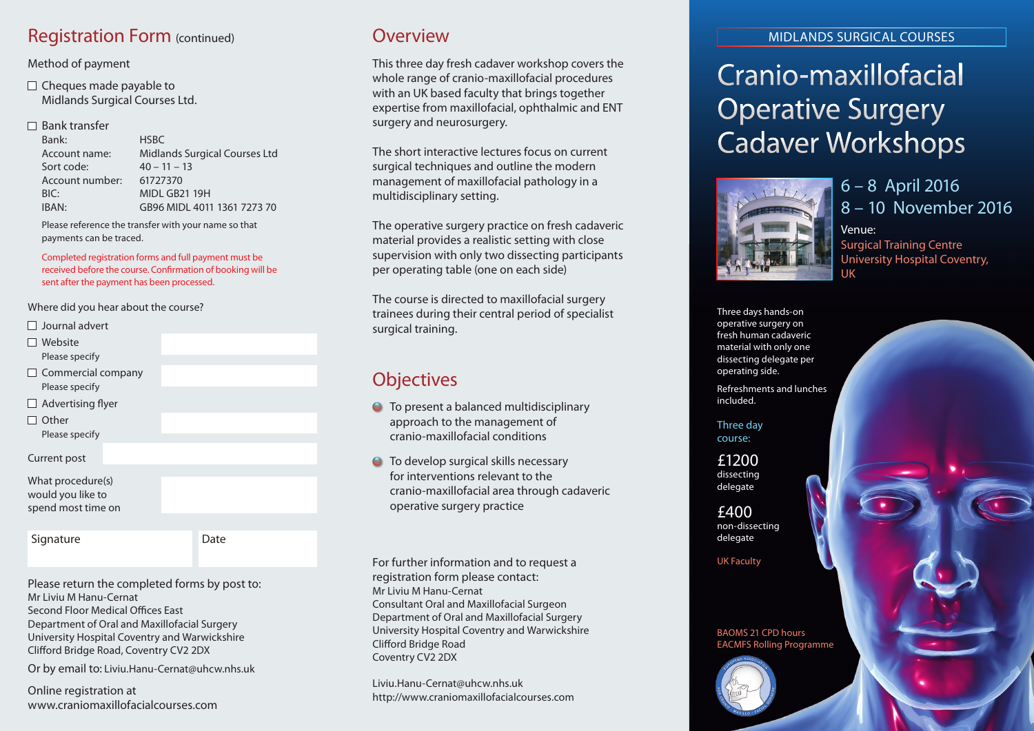### Registration Form (continued) **COVERTIGATE:** Overview

#### Method of payment

 $\Box$  Cheques made payable to Midlands Surgical Courses Ltd.

#### $\Box$  Bank transfer

| Bank:           | <b>HSBC</b>                          |
|-----------------|--------------------------------------|
| Account name:   | <b>Midlands Surgical Courses Ltd</b> |
| Sort code:      | $40 - 11 - 13$                       |
| Account number: | 61727370                             |
| BIC:            | MIDL GB21 19H                        |
| IBAN:           | GB96 MIDL 4011 1361 7273 70          |

Please reference the transfer with your name so that payments can be traced.

Completed registration forms and full payment must be received before the course. Confirmation of booking will be sent after the payment has been processed.

Where did you hear about the course?

- $\Box$  Journal advert
- Website Please specify
- $\Box$  Commercial company Please specify
- $\Box$  Advertising flyer
- $\Box$  Other

Please specify

Current post

What procedure(s) would you like to spend most time on

Signature Date

Please return the completed forms by post to: Mr Liviu M Hanu-Cernat Second Floor Medical Offices East Department of Oral and Maxillofacial Surgery University Hospital Coventry and Warwickshire Clifford Bridge Road, Coventry CV2 2DX

Or by email to: Liviu.Hanu-Cernat@uhcw.nhs.uk

Online registration at www.craniomaxillofacialcourses.com

This three day fresh cadaver workshop covers the whole range of cranio-maxillofacial procedures with an UK based faculty that brings together expertise from maxillofacial, ophthalmic and ENT surgery and neurosurgery.

The short interactive lectures focus on current surgical techniques and outline the modern management of maxillofacial pathology in a multidisciplinary setting.

The operative surgery practice on fresh cadaveric material provides a realistic setting with close supervision with only two dissecting participants per operating table (one on each side)

The course is directed to maxillofacial surgery trainees during their central period of specialist surgical training.

### **Objectives**

- **●** To present a balanced multidisciplinary approach to the management of cranio-maxillofacial conditions
- To develop surgical skills necessary for interventions relevant to the cranio-maxillofacial area through cadaveric operative surgery practice

For further information and to request a registration form please contact: Mr Liviu M Hanu-Cernat Consultant Oral and Maxillofacial Surgeon Department of Oral and Maxillofacial Surgery University Hospital Coventry and Warwickshire Clifford Bridge Road Coventry CV2 2DX

Liviu.Hanu-Cernat@uhcw.nhs.uk http://www.craniomaxillofacialcourses.com

#### MIDLANDS SURGICAL COURSES

# Cranio-maxillofacial Operative Surgery Cadaver Workshops



6 – 8 April 2016 8 – 10 November 2016 Venue: Surgical Training Centre University Hospital Coventry, UK

Three days hands-on operative surgery on fresh human cadaveric material with only one dissecting delegate per operating side.

Refreshments and lunches included.

Three day course:

£1200 dissecting delegate

£400 non-dissecting delegate

UK Faculty

BAOMS 21 CPD hours EACMFS Rolling Programme